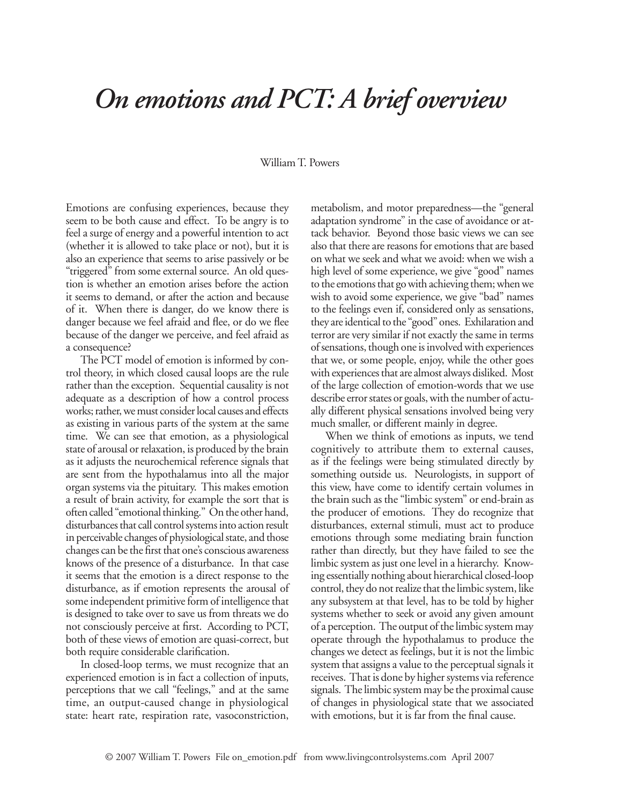## *On emotions and PCT: A brief overview*

## William T. Powers

Emotions are confusing experiences, because they seem to be both cause and effect. To be angry is to feel a surge of energy and a powerful intention to act (whether it is allowed to take place or not), but it is also an experience that seems to arise passively or be "triggered" from some external source. An old question is whether an emotion arises before the action it seems to demand, or after the action and because of it. When there is danger, do we know there is danger because we feel afraid and flee, or do we flee because of the danger we perceive, and feel afraid as a consequence?

The PCT model of emotion is informed by control theory, in which closed causal loops are the rule rather than the exception. Sequential causality is not adequate as a description of how a control process works; rather, we must consider local causes and effects as existing in various parts of the system at the same time. We can see that emotion, as a physiological state of arousal or relaxation, is produced by the brain as it adjusts the neurochemical reference signals that are sent from the hypothalamus into all the major organ systems via the pituitary. This makes emotion a result of brain activity, for example the sort that is often called "emotional thinking." On the other hand, disturbances that call control systems into action result in perceivable changes of physiological state, and those changes can be the first that one's conscious awareness knows of the presence of a disturbance. In that case it seems that the emotion is a direct response to the disturbance, as if emotion represents the arousal of some independent primitive form of intelligence that is designed to take over to save us from threats we do not consciously perceive at first. According to PCT, both of these views of emotion are quasi-correct, but both require considerable clarification.

In closed-loop terms, we must recognize that an experienced emotion is in fact a collection of inputs, perceptions that we call "feelings," and at the same time, an output-caused change in physiological state: heart rate, respiration rate, vasoconstriction, metabolism, and motor preparedness—the "general adaptation syndrome" in the case of avoidance or attack behavior. Beyond those basic views we can see also that there are reasons for emotions that are based on what we seek and what we avoid: when we wish a high level of some experience, we give "good" names to the emotions that go with achieving them; when we wish to avoid some experience, we give "bad" names to the feelings even if, considered only as sensations, they are identical to the "good" ones. Exhilaration and terror are very similar if not exactly the same in terms of sensations, though one is involved with experiences that we, or some people, enjoy, while the other goes with experiences that are almost always disliked. Most of the large collection of emotion-words that we use describe error states or goals, with the number of actually different physical sensations involved being very much smaller, or different mainly in degree.

When we think of emotions as inputs, we tend cognitively to attribute them to external causes, as if the feelings were being stimulated directly by something outside us. Neurologists, in support of this view, have come to identify certain volumes in the brain such as the "limbic system" or end-brain as the producer of emotions. They do recognize that disturbances, external stimuli, must act to produce emotions through some mediating brain function rather than directly, but they have failed to see the limbic system as just one level in a hierarchy. Knowing essentially nothing about hierarchical closed-loop control, they do not realize that the limbic system, like any subsystem at that level, has to be told by higher systems whether to seek or avoid any given amount of a perception. The output of the limbic system may operate through the hypothalamus to produce the changes we detect as feelings, but it is not the limbic system that assigns a value to the perceptual signals it receives. That is done by higher systems via reference signals. The limbic system may be the proximal cause of changes in physiological state that we associated with emotions, but it is far from the final cause.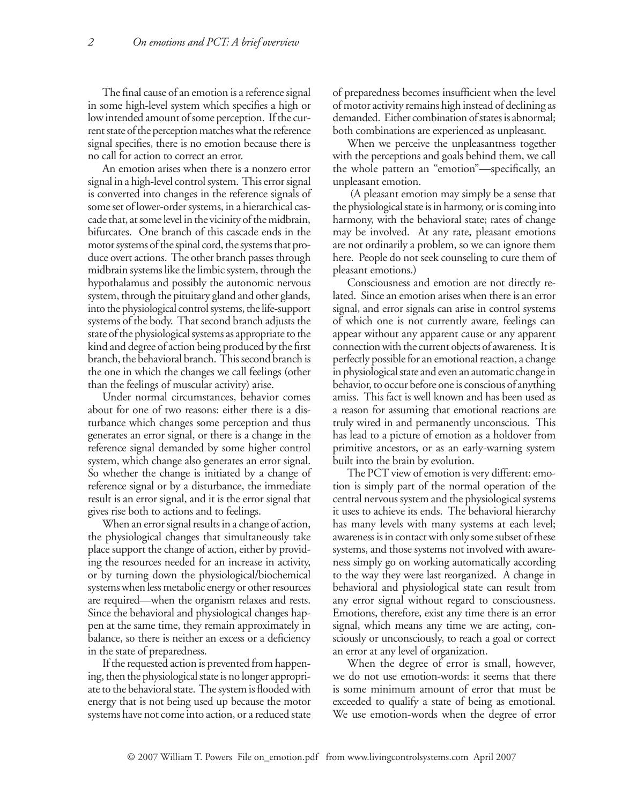The final cause of an emotion is a reference signal in some high-level system which specifies a high or low intended amount of some perception. If the current state of the perception matches what the reference signal specifies, there is no emotion because there is no call for action to correct an error.

An emotion arises when there is a nonzero error signal in a high-level control system. This error signal is converted into changes in the reference signals of some set of lower-order systems, in a hierarchical cascade that, at some level in the vicinity of the midbrain, bifurcates. One branch of this cascade ends in the motor systems of the spinal cord, the systems that produce overt actions. The other branch passes through midbrain systems like the limbic system, through the hypothalamus and possibly the autonomic nervous system, through the pituitary gland and other glands, into the physiological control systems, the life-support systems of the body. That second branch adjusts the state of the physiological systems as appropriate to the kind and degree of action being produced by the first branch, the behavioral branch. This second branch is the one in which the changes we call feelings (other than the feelings of muscular activity) arise.

Under normal circumstances, behavior comes about for one of two reasons: either there is a disturbance which changes some perception and thus generates an error signal, or there is a change in the reference signal demanded by some higher control system, which change also generates an error signal. So whether the change is initiated by a change of reference signal or by a disturbance, the immediate result is an error signal, and it is the error signal that gives rise both to actions and to feelings.

When an error signal results in a change of action, the physiological changes that simultaneously take place support the change of action, either by providing the resources needed for an increase in activity, or by turning down the physiological/biochemical systems when less metabolic energy or other resources are required—when the organism relaxes and rests. Since the behavioral and physiological changes happen at the same time, they remain approximately in balance, so there is neither an excess or a deficiency in the state of preparedness.

If the requested action is prevented from happening, then the physiological state is no longer appropriate to the behavioral state. The system is flooded with energy that is not being used up because the motor systems have not come into action, or a reduced state

of preparedness becomes insufficient when the level of motor activity remains high instead of declining as demanded. Either combination of states is abnormal; both combinations are experienced as unpleasant.

When we perceive the unpleasantness together with the perceptions and goals behind them, we call the whole pattern an "emotion"—specifically, an unpleasant emotion.

 (A pleasant emotion may simply be a sense that the physiological state is in harmony, or is coming into harmony, with the behavioral state; rates of change may be involved. At any rate, pleasant emotions are not ordinarily a problem, so we can ignore them here. People do not seek counseling to cure them of pleasant emotions.)

Consciousness and emotion are not directly related. Since an emotion arises when there is an error signal, and error signals can arise in control systems of which one is not currently aware, feelings can appear without any apparent cause or any apparent connection with the current objects of awareness. It is perfectly possible for an emotional reaction, a change in physiological state and even an automatic change in behavior, to occur before one is conscious of anything amiss. This fact is well known and has been used as a reason for assuming that emotional reactions are truly wired in and permanently unconscious. This has lead to a picture of emotion as a holdover from primitive ancestors, or as an early-warning system built into the brain by evolution.

The PCT view of emotion is very different: emotion is simply part of the normal operation of the central nervous system and the physiological systems it uses to achieve its ends. The behavioral hierarchy has many levels with many systems at each level; awareness is in contact with only some subset of these systems, and those systems not involved with awareness simply go on working automatically according to the way they were last reorganized. A change in behavioral and physiological state can result from any error signal without regard to consciousness. Emotions, therefore, exist any time there is an error signal, which means any time we are acting, consciously or unconsciously, to reach a goal or correct an error at any level of organization.

When the degree of error is small, however, we do not use emotion-words: it seems that there is some minimum amount of error that must be exceeded to qualify a state of being as emotional. We use emotion-words when the degree of error